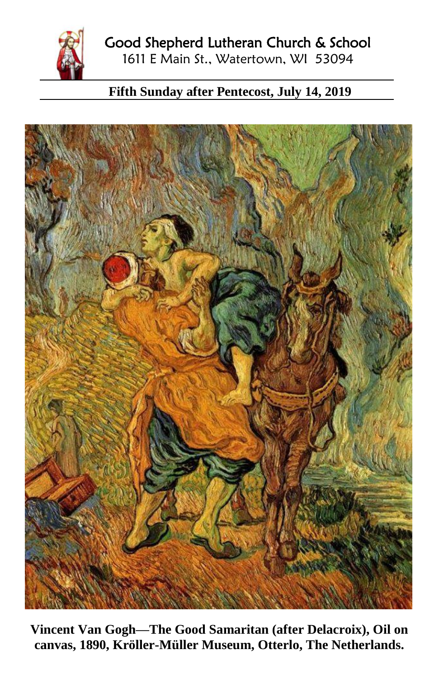

## **Fifth Sunday after Pentecost, July 14, 2019**



**Vincent Van Gogh—The Good Samaritan (after Delacroix), Oil on canvas, 1890, Kröller-Müller Museum, Otterlo, The Netherlands.**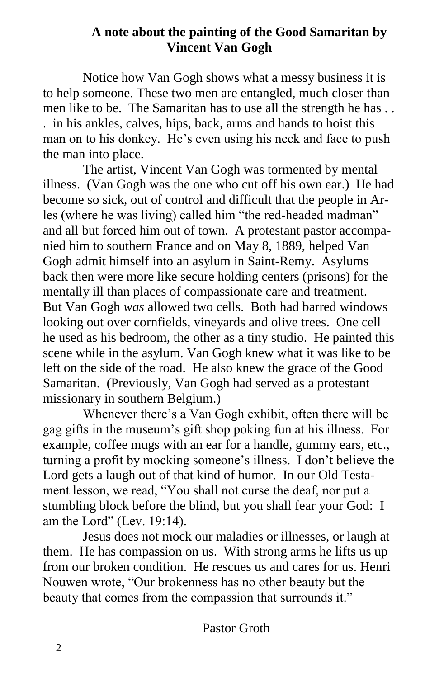## **A note about the painting of the Good Samaritan by Vincent Van Gogh**

Notice how Van Gogh shows what a messy business it is to help someone. These two men are entangled, much closer than men like to be. The Samaritan has to use all the strength he has . . . in his ankles, calves, hips, back, arms and hands to hoist this man on to his donkey. He's even using his neck and face to push the man into place.

The artist, Vincent Van Gogh was tormented by mental illness. (Van Gogh was the one who cut off his own ear.) He had become so sick, out of control and difficult that the people in Arles (where he was living) called him "the red-headed madman" and all but forced him out of town. A protestant pastor accompanied him to southern France and on May 8, 1889, helped Van Gogh admit himself into an asylum in Saint-Remy. Asylums back then were more like secure holding centers (prisons) for the mentally ill than places of compassionate care and treatment. But Van Gogh *was* allowed two cells. Both had barred windows looking out over cornfields, vineyards and olive trees. One cell he used as his bedroom, the other as a tiny studio. He painted this scene while in the asylum. Van Gogh knew what it was like to be left on the side of the road. He also knew the grace of the Good Samaritan. (Previously, Van Gogh had served as a protestant missionary in southern Belgium.)

Whenever there's a Van Gogh exhibit, often there will be gag gifts in the museum's gift shop poking fun at his illness. For example, coffee mugs with an ear for a handle, gummy ears, etc., turning a profit by mocking someone's illness. I don't believe the Lord gets a laugh out of that kind of humor. In our Old Testament lesson, we read, "You shall not curse the deaf, nor put a stumbling block before the blind, but you shall fear your God: I am the Lord" (Lev. 19:14).

Jesus does not mock our maladies or illnesses, or laugh at them. He has compassion on us. With strong arms he lifts us up from our broken condition. He rescues us and cares for us. Henri Nouwen wrote, "Our brokenness has no other beauty but the beauty that comes from the compassion that surrounds it."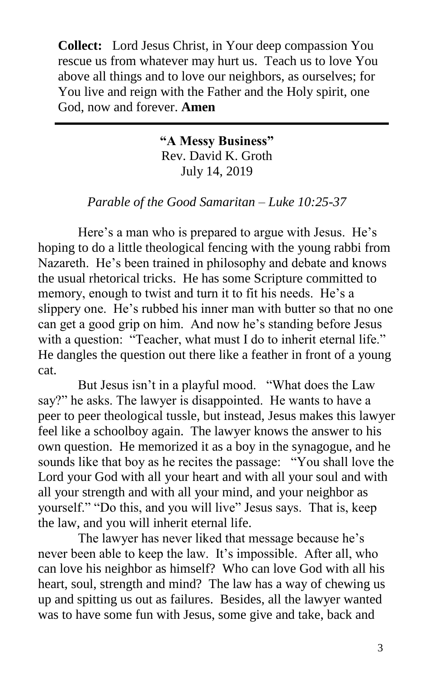**Collect:** Lord Jesus Christ, in Your deep compassion You rescue us from whatever may hurt us. Teach us to love You above all things and to love our neighbors, as ourselves; for You live and reign with the Father and the Holy spirit, one God, now and forever. **Amen**

> **"A Messy Business"** Rev. David K. Groth July 14, 2019

*Parable of the Good Samaritan – Luke 10:25-37*

Here's a man who is prepared to argue with Jesus. He's hoping to do a little theological fencing with the young rabbi from Nazareth. He's been trained in philosophy and debate and knows the usual rhetorical tricks. He has some Scripture committed to memory, enough to twist and turn it to fit his needs. He's a slippery one. He's rubbed his inner man with butter so that no one can get a good grip on him. And now he's standing before Jesus with a question: "Teacher, what must I do to inherit eternal life." He dangles the question out there like a feather in front of a young cat.

But Jesus isn't in a playful mood. "What does the Law say?" he asks. The lawyer is disappointed. He wants to have a peer to peer theological tussle, but instead, Jesus makes this lawyer feel like a schoolboy again. The lawyer knows the answer to his own question. He memorized it as a boy in the synagogue, and he sounds like that boy as he recites the passage: "You shall love the Lord your God with all your heart and with all your soul and with all your strength and with all your mind, and your neighbor as yourself." "Do this, and you will live" Jesus says. That is, keep the law, and you will inherit eternal life.

The lawyer has never liked that message because he's never been able to keep the law. It's impossible. After all, who can love his neighbor as himself? Who can love God with all his heart, soul, strength and mind? The law has a way of chewing us up and spitting us out as failures. Besides, all the lawyer wanted was to have some fun with Jesus, some give and take, back and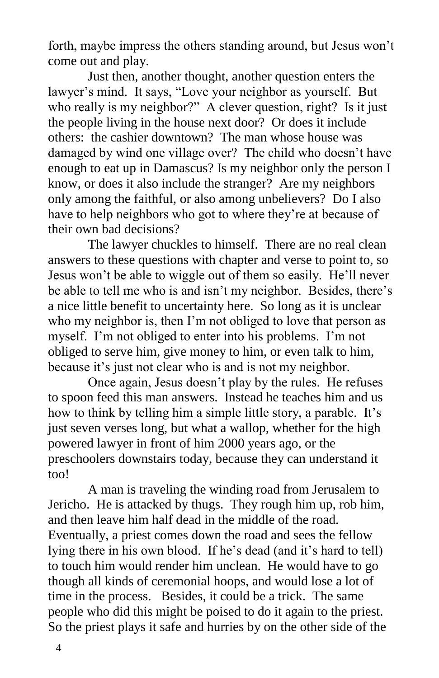forth, maybe impress the others standing around, but Jesus won't come out and play.

Just then, another thought, another question enters the lawyer's mind. It says, "Love your neighbor as yourself. But who really is my neighbor?" A clever question, right? Is it just the people living in the house next door? Or does it include others: the cashier downtown? The man whose house was damaged by wind one village over? The child who doesn't have enough to eat up in Damascus? Is my neighbor only the person I know, or does it also include the stranger? Are my neighbors only among the faithful, or also among unbelievers? Do I also have to help neighbors who got to where they're at because of their own bad decisions?

The lawyer chuckles to himself. There are no real clean answers to these questions with chapter and verse to point to, so Jesus won't be able to wiggle out of them so easily. He'll never be able to tell me who is and isn't my neighbor. Besides, there's a nice little benefit to uncertainty here. So long as it is unclear who my neighbor is, then I'm not obliged to love that person as myself. I'm not obliged to enter into his problems. I'm not obliged to serve him, give money to him, or even talk to him, because it's just not clear who is and is not my neighbor.

Once again, Jesus doesn't play by the rules. He refuses to spoon feed this man answers. Instead he teaches him and us how to think by telling him a simple little story, a parable. It's just seven verses long, but what a wallop, whether for the high powered lawyer in front of him 2000 years ago, or the preschoolers downstairs today, because they can understand it too!

A man is traveling the winding road from Jerusalem to Jericho. He is attacked by thugs. They rough him up, rob him, and then leave him half dead in the middle of the road. Eventually, a priest comes down the road and sees the fellow lying there in his own blood. If he's dead (and it's hard to tell) to touch him would render him unclean. He would have to go though all kinds of ceremonial hoops, and would lose a lot of time in the process. Besides, it could be a trick. The same people who did this might be poised to do it again to the priest. So the priest plays it safe and hurries by on the other side of the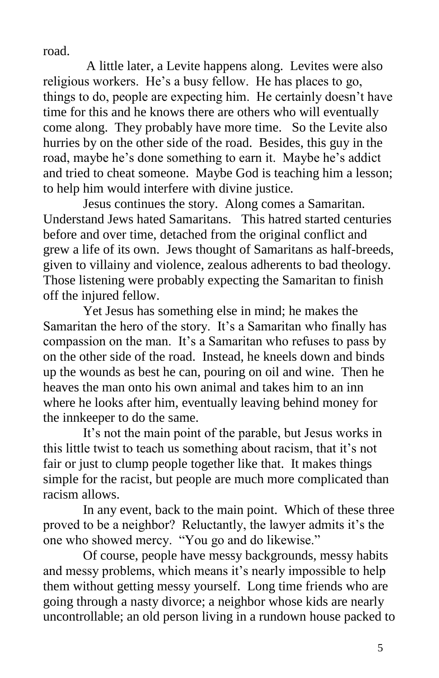road.

A little later, a Levite happens along. Levites were also religious workers. He's a busy fellow. He has places to go, things to do, people are expecting him. He certainly doesn't have time for this and he knows there are others who will eventually come along. They probably have more time. So the Levite also hurries by on the other side of the road. Besides, this guy in the road, maybe he's done something to earn it. Maybe he's addict and tried to cheat someone. Maybe God is teaching him a lesson; to help him would interfere with divine justice.

Jesus continues the story. Along comes a Samaritan. Understand Jews hated Samaritans. This hatred started centuries before and over time, detached from the original conflict and grew a life of its own. Jews thought of Samaritans as half-breeds, given to villainy and violence, zealous adherents to bad theology. Those listening were probably expecting the Samaritan to finish off the injured fellow.

Yet Jesus has something else in mind; he makes the Samaritan the hero of the story. It's a Samaritan who finally has compassion on the man. It's a Samaritan who refuses to pass by on the other side of the road. Instead, he kneels down and binds up the wounds as best he can, pouring on oil and wine. Then he heaves the man onto his own animal and takes him to an inn where he looks after him, eventually leaving behind money for the innkeeper to do the same.

It's not the main point of the parable, but Jesus works in this little twist to teach us something about racism, that it's not fair or just to clump people together like that. It makes things simple for the racist, but people are much more complicated than racism allows.

In any event, back to the main point. Which of these three proved to be a neighbor? Reluctantly, the lawyer admits it's the one who showed mercy. "You go and do likewise."

Of course, people have messy backgrounds, messy habits and messy problems, which means it's nearly impossible to help them without getting messy yourself. Long time friends who are going through a nasty divorce; a neighbor whose kids are nearly uncontrollable; an old person living in a rundown house packed to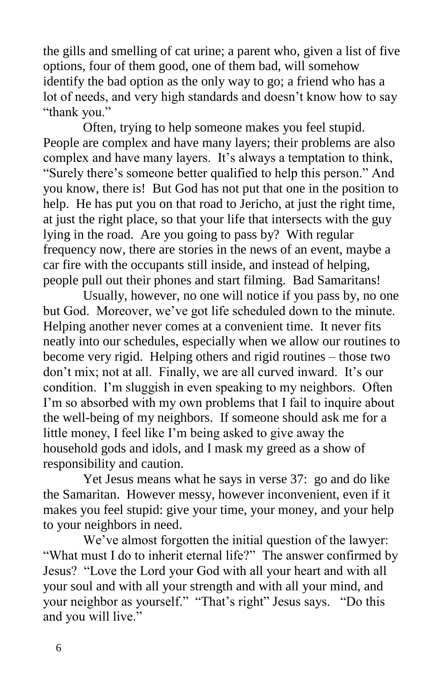the gills and smelling of cat urine; a parent who, given a list of five options, four of them good, one of them bad, will somehow identify the bad option as the only way to go; a friend who has a lot of needs, and very high standards and doesn't know how to say "thank you."

Often, trying to help someone makes you feel stupid. People are complex and have many layers; their problems are also complex and have many layers. It's always a temptation to think, "Surely there's someone better qualified to help this person." And you know, there is! But God has not put that one in the position to help. He has put you on that road to Jericho, at just the right time, at just the right place, so that your life that intersects with the guy lying in the road. Are you going to pass by? With regular frequency now, there are stories in the news of an event, maybe a car fire with the occupants still inside, and instead of helping, people pull out their phones and start filming. Bad Samaritans!

Usually, however, no one will notice if you pass by, no one but God. Moreover, we've got life scheduled down to the minute. Helping another never comes at a convenient time. It never fits neatly into our schedules, especially when we allow our routines to become very rigid. Helping others and rigid routines – those two don't mix; not at all. Finally, we are all curved inward. It's our condition. I'm sluggish in even speaking to my neighbors. Often I'm so absorbed with my own problems that I fail to inquire about the well-being of my neighbors. If someone should ask me for a little money, I feel like I'm being asked to give away the household gods and idols, and I mask my greed as a show of responsibility and caution.

Yet Jesus means what he says in verse 37: go and do like the Samaritan. However messy, however inconvenient, even if it makes you feel stupid: give your time, your money, and your help to your neighbors in need.

We've almost forgotten the initial question of the lawyer: "What must I do to inherit eternal life?" The answer confirmed by Jesus? "Love the Lord your God with all your heart and with all your soul and with all your strength and with all your mind, and your neighbor as yourself." "That's right" Jesus says. "Do this and you will live."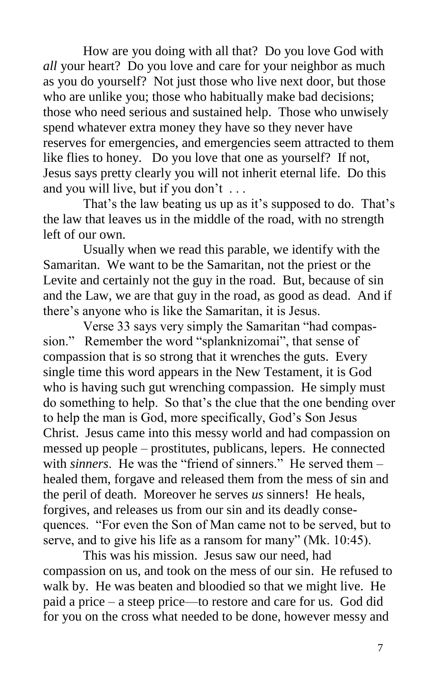How are you doing with all that? Do you love God with *all* your heart? Do you love and care for your neighbor as much as you do yourself? Not just those who live next door, but those who are unlike you; those who habitually make bad decisions; those who need serious and sustained help. Those who unwisely spend whatever extra money they have so they never have reserves for emergencies, and emergencies seem attracted to them like flies to honey. Do you love that one as yourself? If not, Jesus says pretty clearly you will not inherit eternal life. Do this and you will live, but if you don't . . .

That's the law beating us up as it's supposed to do. That's the law that leaves us in the middle of the road, with no strength left of our own.

Usually when we read this parable, we identify with the Samaritan. We want to be the Samaritan, not the priest or the Levite and certainly not the guy in the road. But, because of sin and the Law, we are that guy in the road, as good as dead. And if there's anyone who is like the Samaritan, it is Jesus.

Verse 33 says very simply the Samaritan "had compassion." Remember the word "splanknizomai", that sense of compassion that is so strong that it wrenches the guts. Every single time this word appears in the New Testament, it is God who is having such gut wrenching compassion. He simply must do something to help. So that's the clue that the one bending over to help the man is God, more specifically, God's Son Jesus Christ. Jesus came into this messy world and had compassion on messed up people – prostitutes, publicans, lepers. He connected with *sinners*. He was the "friend of sinners." He served them – healed them, forgave and released them from the mess of sin and the peril of death. Moreover he serves *us* sinners! He heals, forgives, and releases us from our sin and its deadly consequences. "For even the Son of Man came not to be served, but to serve, and to give his life as a ransom for many" (Mk. 10:45).

This was his mission. Jesus saw our need, had compassion on us, and took on the mess of our sin. He refused to walk by. He was beaten and bloodied so that we might live. He paid a price – a steep price—to restore and care for us. God did for you on the cross what needed to be done, however messy and